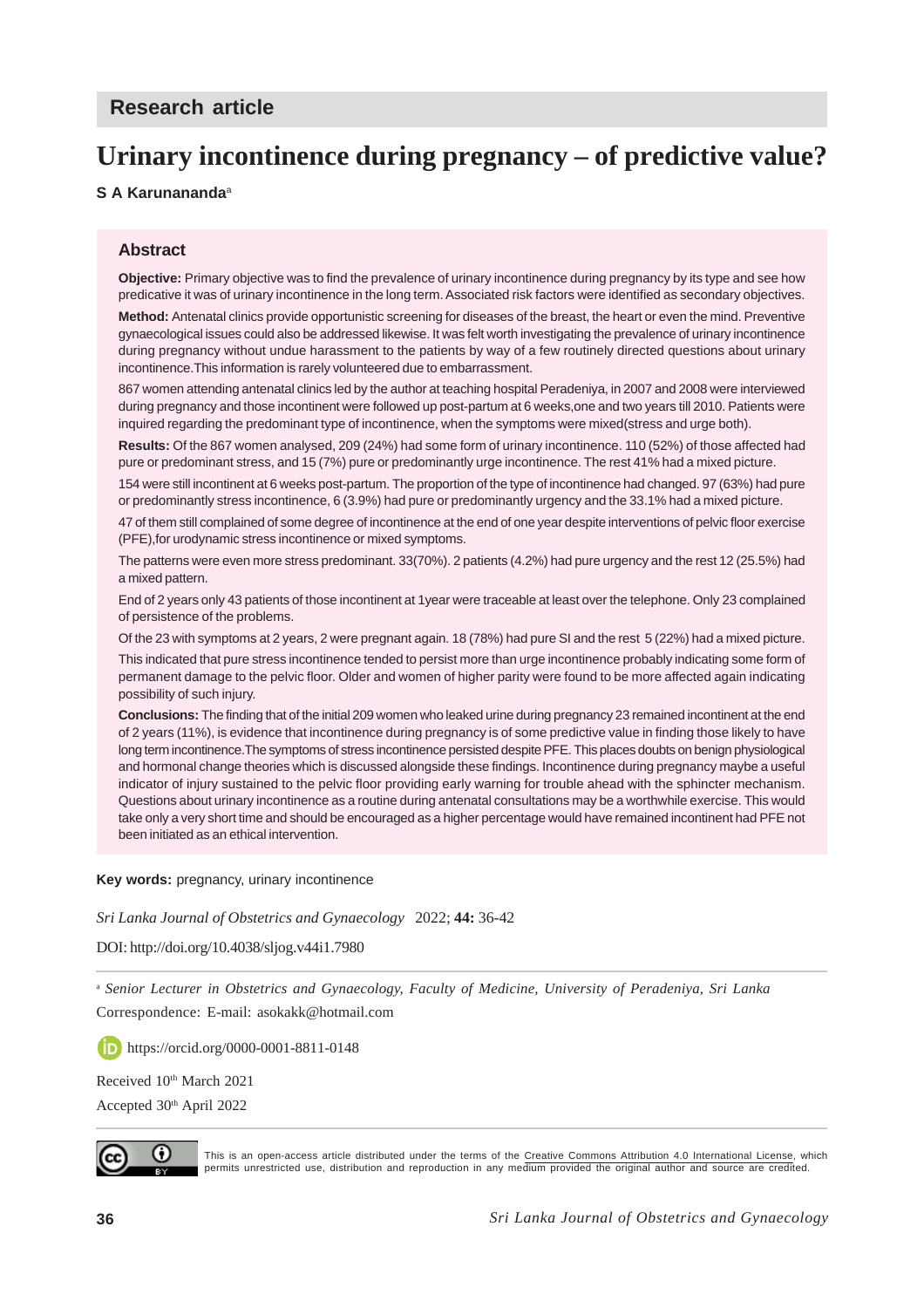# **Urinary incontinence during pregnancy – of predictive value?**

#### **S A Karunananda**<sup>a</sup>

#### **Abstract**

**Objective:** Primary objective was to find the prevalence of urinary incontinence during pregnancy by its type and see how predicative it was of urinary incontinence in the long term. Associated risk factors were identified as secondary objectives.

**Method:** Antenatal clinics provide opportunistic screening for diseases of the breast, the heart or even the mind. Preventive gynaecological issues could also be addressed likewise. It was felt worth investigating the prevalence of urinary incontinence during pregnancy without undue harassment to the patients by way of a few routinely directed questions about urinary incontinence.This information is rarely volunteered due to embarrassment.

867 women attending antenatal clinics led by the author at teaching hospital Peradeniya, in 2007 and 2008 were interviewed during pregnancy and those incontinent were followed up post-partum at 6 weeks,one and two years till 2010. Patients were inquired regarding the predominant type of incontinence, when the symptoms were mixed(stress and urge both).

**Results:** Of the 867 women analysed, 209 (24%) had some form of urinary incontinence. 110 (52%) of those affected had pure or predominant stress, and 15 (7%) pure or predominantly urge incontinence. The rest 41% had a mixed picture.

154 were still incontinent at 6 weeks post-partum. The proportion of the type of incontinence had changed. 97 (63%) had pure or predominantly stress incontinence, 6 (3.9%) had pure or predominantly urgency and the 33.1% had a mixed picture.

47 of them still complained of some degree of incontinence at the end of one year despite interventions of pelvic floor exercise (PFE),for urodynamic stress incontinence or mixed symptoms.

The patterns were even more stress predominant. 33(70%). 2 patients (4.2%) had pure urgency and the rest 12 (25.5%) had a mixed pattern.

End of 2 years only 43 patients of those incontinent at 1year were traceable at least over the telephone. Only 23 complained of persistence of the problems.

Of the 23 with symptoms at 2 years, 2 were pregnant again. 18 (78%) had pure SI and the rest 5 (22%) had a mixed picture.

This indicated that pure stress incontinence tended to persist more than urge incontinence probably indicating some form of permanent damage to the pelvic floor. Older and women of higher parity were found to be more affected again indicating possibility of such injury.

**Conclusions:** The finding that of the initial 209 women who leaked urine during pregnancy 23 remained incontinent at the end of 2 years (11%), is evidence that incontinence during pregnancy is of some predictive value in finding those likely to have long term incontinence.The symptoms of stress incontinence persisted despite PFE. This places doubts on benign physiological and hormonal change theories which is discussed alongside these findings. Incontinence during pregnancy maybe a useful indicator of injury sustained to the pelvic floor providing early warning for trouble ahead with the sphincter mechanism. Questions about urinary incontinence as a routine during antenatal consultations may be a worthwhile exercise. This would take only a very short time and should be encouraged as a higher percentage would have remained incontinent had PFE not been initiated as an ethical intervention.

#### **Key words:** pregnancy, urinary incontinence

*Sri Lanka Journal of Obstetrics and Gynaecology* 2022; **44:** 36-42

DOI: http://doi.org/10.4038/sljog.v44i1.7980

<sup>a</sup> *Senior Lecturer in Obstetrics and Gynaecology, Faculty of Medicine, University of Peradeniya, Sri Lanka* Correspondence: E-mail: asokakk@hotmail.com

https://orcid.org/0000-0001-8811-0148

Received 10<sup>th</sup> March 2021

Accepted 30th April 2022



This is an open-access article distributed under the terms of the [Creative Commons Attribution 4.0 International License,](https://creativecommons.org/licenses/by/4.0/) which permits unrestricted use, distribution and reproduction in any medium provided the original author and source are credited.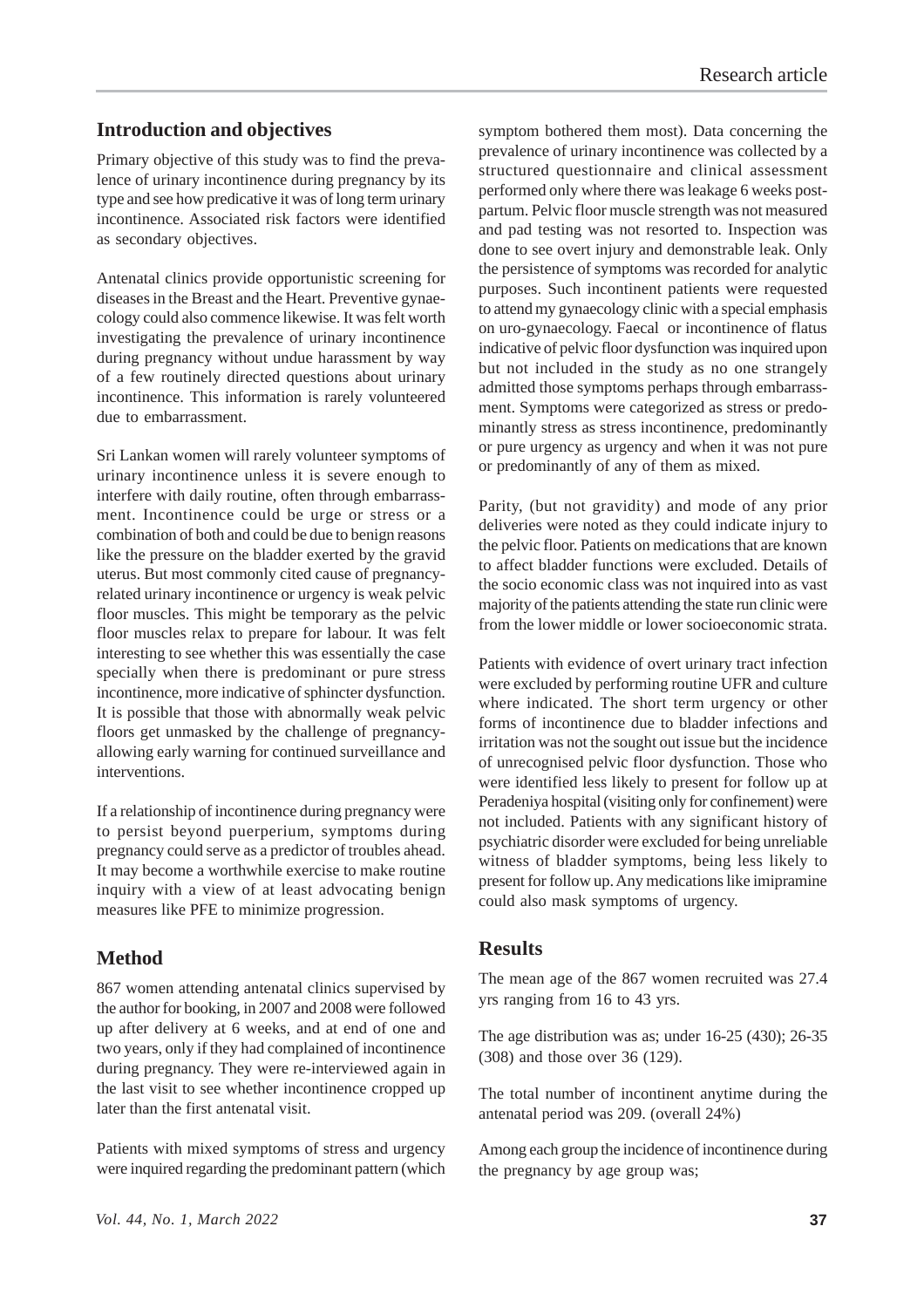#### **Introduction and objectives**

Primary objective of this study was to find the prevalence of urinary incontinence during pregnancy by its type and see how predicative it was of long term urinary incontinence. Associated risk factors were identified as secondary objectives.

Antenatal clinics provide opportunistic screening for diseases in the Breast and the Heart. Preventive gynaecology could also commence likewise. It was felt worth investigating the prevalence of urinary incontinence during pregnancy without undue harassment by way of a few routinely directed questions about urinary incontinence. This information is rarely volunteered due to embarrassment.

Sri Lankan women will rarely volunteer symptoms of urinary incontinence unless it is severe enough to interfere with daily routine, often through embarrassment. Incontinence could be urge or stress or a combination of both and could be due to benign reasons like the pressure on the bladder exerted by the gravid uterus. But most commonly cited cause of pregnancyrelated urinary incontinence or urgency is weak pelvic floor muscles. This might be temporary as the pelvic floor muscles relax to prepare for labour. It was felt interesting to see whether this was essentially the case specially when there is predominant or pure stress incontinence, more indicative of sphincter dysfunction. It is possible that those with abnormally weak pelvic floors get unmasked by the challenge of pregnancyallowing early warning for continued surveillance and interventions.

If a relationship of incontinence during pregnancy were to persist beyond puerperium, symptoms during pregnancy could serve as a predictor of troubles ahead. It may become a worthwhile exercise to make routine inquiry with a view of at least advocating benign measures like PFE to minimize progression.

## **Method**

867 women attending antenatal clinics supervised by the author for booking, in 2007 and 2008 were followed up after delivery at 6 weeks, and at end of one and two years, only if they had complained of incontinence during pregnancy. They were re-interviewed again in the last visit to see whether incontinence cropped up later than the first antenatal visit.

Patients with mixed symptoms of stress and urgency were inquired regarding the predominant pattern (which

symptom bothered them most). Data concerning the prevalence of urinary incontinence was collected by a structured questionnaire and clinical assessment performed only where there was leakage 6 weeks postpartum. Pelvic floor muscle strength was not measured and pad testing was not resorted to. Inspection was done to see overt injury and demonstrable leak. Only the persistence of symptoms was recorded for analytic purposes. Such incontinent patients were requested to attend my gynaecology clinic with a special emphasis on uro-gynaecology. Faecal or incontinence of flatus indicative of pelvic floor dysfunction was inquired upon but not included in the study as no one strangely admitted those symptoms perhaps through embarrassment. Symptoms were categorized as stress or predominantly stress as stress incontinence, predominantly or pure urgency as urgency and when it was not pure or predominantly of any of them as mixed.

Parity, (but not gravidity) and mode of any prior deliveries were noted as they could indicate injury to the pelvic floor. Patients on medications that are known to affect bladder functions were excluded. Details of the socio economic class was not inquired into as vast majority of the patients attending the state run clinic were from the lower middle or lower socioeconomic strata.

Patients with evidence of overt urinary tract infection were excluded by performing routine UFR and culture where indicated. The short term urgency or other forms of incontinence due to bladder infections and irritation was not the sought out issue but the incidence of unrecognised pelvic floor dysfunction. Those who were identified less likely to present for follow up at Peradeniya hospital (visiting only for confinement) were not included. Patients with any significant history of psychiatric disorder were excluded for being unreliable witness of bladder symptoms, being less likely to present for follow up. Any medications like imipramine could also mask symptoms of urgency.

#### **Results**

The mean age of the 867 women recruited was 27.4 yrs ranging from 16 to 43 yrs.

The age distribution was as; under 16-25 (430); 26-35 (308) and those over 36 (129).

The total number of incontinent anytime during the antenatal period was 209. (overall 24%)

Among each group the incidence of incontinence during the pregnancy by age group was;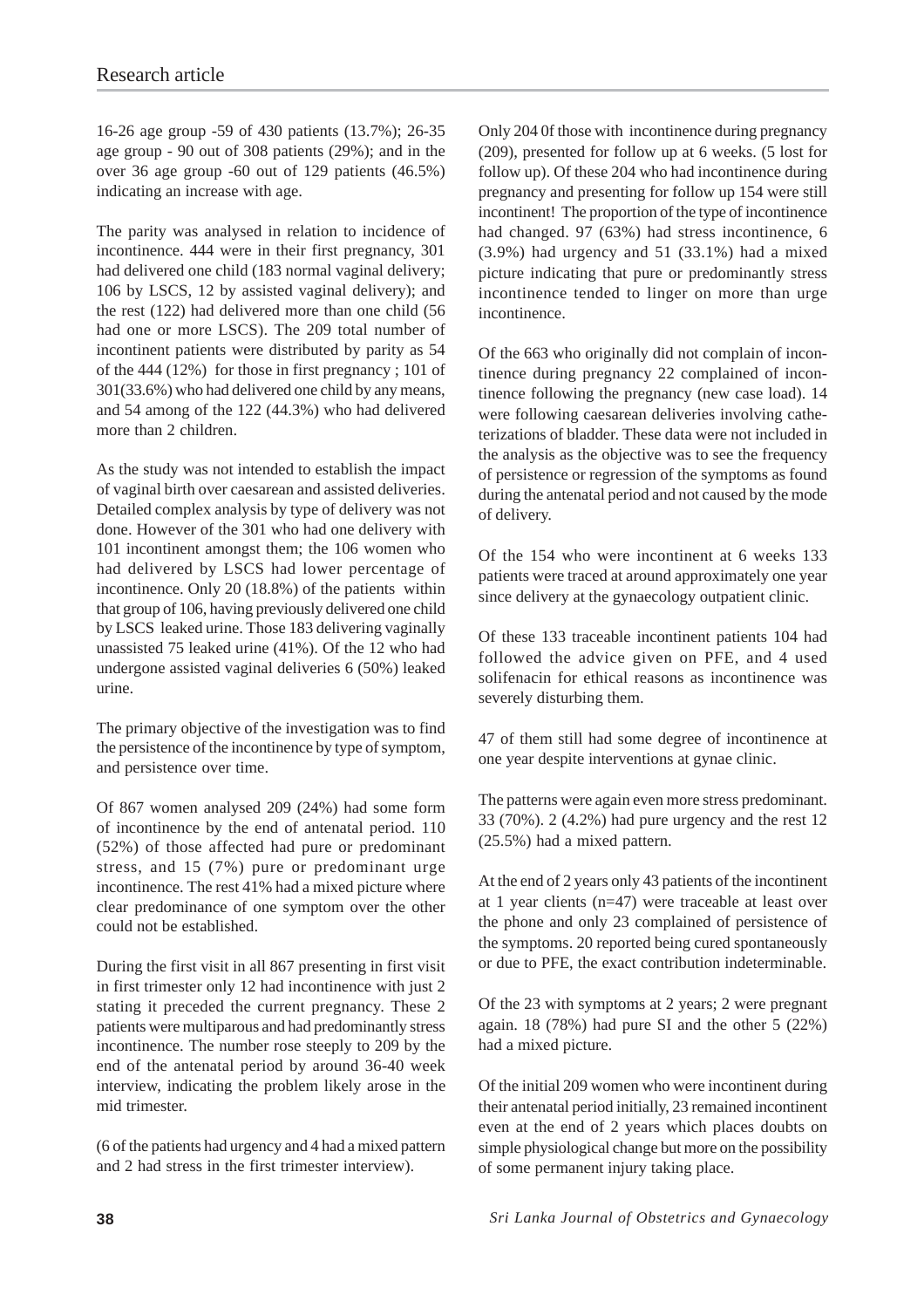16-26 age group -59 of 430 patients (13.7%); 26-35 age group - 90 out of 308 patients (29%); and in the over 36 age group -60 out of 129 patients (46.5%) indicating an increase with age.

The parity was analysed in relation to incidence of incontinence. 444 were in their first pregnancy, 301 had delivered one child (183 normal vaginal delivery; 106 by LSCS, 12 by assisted vaginal delivery); and the rest (122) had delivered more than one child (56 had one or more LSCS). The 209 total number of incontinent patients were distributed by parity as 54 of the 444 (12%) for those in first pregnancy ; 101 of 301(33.6%) who had delivered one child by any means, and 54 among of the 122 (44.3%) who had delivered more than 2 children.

As the study was not intended to establish the impact of vaginal birth over caesarean and assisted deliveries. Detailed complex analysis by type of delivery was not done. However of the 301 who had one delivery with 101 incontinent amongst them; the 106 women who had delivered by LSCS had lower percentage of incontinence. Only 20 (18.8%) of the patients within that group of 106, having previously delivered one child by LSCS leaked urine. Those 183 delivering vaginally unassisted 75 leaked urine (41%). Of the 12 who had undergone assisted vaginal deliveries 6 (50%) leaked urine.

The primary objective of the investigation was to find the persistence of the incontinence by type of symptom, and persistence over time.

Of 867 women analysed 209 (24%) had some form of incontinence by the end of antenatal period. 110 (52%) of those affected had pure or predominant stress, and 15 (7%) pure or predominant urge incontinence. The rest 41% had a mixed picture where clear predominance of one symptom over the other could not be established.

During the first visit in all 867 presenting in first visit in first trimester only 12 had incontinence with just 2 stating it preceded the current pregnancy. These 2 patients were multiparous and had predominantly stress incontinence. The number rose steeply to 209 by the end of the antenatal period by around 36-40 week interview, indicating the problem likely arose in the mid trimester.

(6 of the patients had urgency and 4 had a mixed pattern and 2 had stress in the first trimester interview).

Only 204 0f those with incontinence during pregnancy (209), presented for follow up at 6 weeks. (5 lost for follow up). Of these 204 who had incontinence during pregnancy and presenting for follow up 154 were still incontinent! The proportion of the type of incontinence had changed. 97 (63%) had stress incontinence, 6 (3.9%) had urgency and 51 (33.1%) had a mixed picture indicating that pure or predominantly stress incontinence tended to linger on more than urge incontinence.

Of the 663 who originally did not complain of incontinence during pregnancy 22 complained of incontinence following the pregnancy (new case load). 14 were following caesarean deliveries involving catheterizations of bladder. These data were not included in the analysis as the objective was to see the frequency of persistence or regression of the symptoms as found during the antenatal period and not caused by the mode of delivery.

Of the 154 who were incontinent at 6 weeks 133 patients were traced at around approximately one year since delivery at the gynaecology outpatient clinic.

Of these 133 traceable incontinent patients 104 had followed the advice given on PFE, and 4 used solifenacin for ethical reasons as incontinence was severely disturbing them.

47 of them still had some degree of incontinence at one year despite interventions at gynae clinic.

The patterns were again even more stress predominant. 33 (70%). 2 (4.2%) had pure urgency and the rest 12 (25.5%) had a mixed pattern.

At the end of 2 years only 43 patients of the incontinent at 1 year clients (n=47) were traceable at least over the phone and only 23 complained of persistence of the symptoms. 20 reported being cured spontaneously or due to PFE, the exact contribution indeterminable.

Of the 23 with symptoms at 2 years; 2 were pregnant again. 18 (78%) had pure SI and the other 5 (22%) had a mixed picture.

Of the initial 209 women who were incontinent during their antenatal period initially, 23 remained incontinent even at the end of 2 years which places doubts on simple physiological change but more on the possibility of some permanent injury taking place.

**38** *Sri Lanka Journal of Obstetrics and Gynaecology*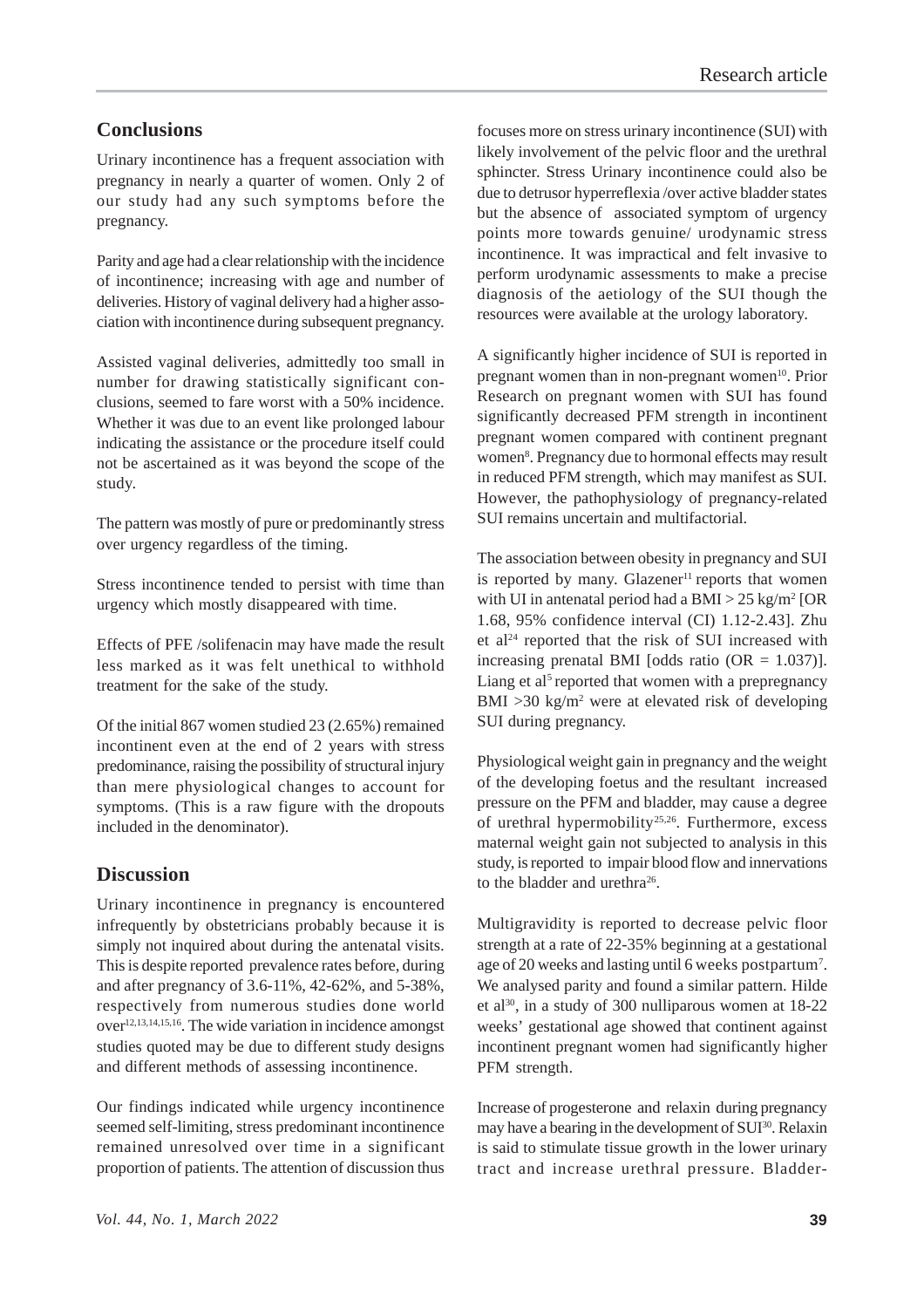### **Conclusions**

Urinary incontinence has a frequent association with pregnancy in nearly a quarter of women. Only 2 of our study had any such symptoms before the pregnancy.

Parity and age had a clear relationship with the incidence of incontinence; increasing with age and number of deliveries. History of vaginal delivery had a higher association with incontinence during subsequent pregnancy.

Assisted vaginal deliveries, admittedly too small in number for drawing statistically significant conclusions, seemed to fare worst with a 50% incidence. Whether it was due to an event like prolonged labour indicating the assistance or the procedure itself could not be ascertained as it was beyond the scope of the study.

The pattern was mostly of pure or predominantly stress over urgency regardless of the timing.

Stress incontinence tended to persist with time than urgency which mostly disappeared with time.

Effects of PFE /solifenacin may have made the result less marked as it was felt unethical to withhold treatment for the sake of the study.

Of the initial 867 women studied 23 (2.65%) remained incontinent even at the end of 2 years with stress predominance, raising the possibility of structural injury than mere physiological changes to account for symptoms. (This is a raw figure with the dropouts included in the denominator).

#### **Discussion**

Urinary incontinence in pregnancy is encountered infrequently by obstetricians probably because it is simply not inquired about during the antenatal visits. This is despite reported prevalence rates before, during and after pregnancy of 3.6-11%, 42-62%, and 5-38%, respectively from numerous studies done world over12,13,14,15,16. The wide variation in incidence amongst studies quoted may be due to different study designs and different methods of assessing incontinence.

Our findings indicated while urgency incontinence seemed self-limiting, stress predominant incontinence remained unresolved over time in a significant proportion of patients. The attention of discussion thus focuses more on stress urinary incontinence (SUI) with likely involvement of the pelvic floor and the urethral sphincter. Stress Urinary incontinence could also be due to detrusor hyperreflexia /over active bladder states but the absence of associated symptom of urgency points more towards genuine/ urodynamic stress incontinence. It was impractical and felt invasive to perform urodynamic assessments to make a precise diagnosis of the aetiology of the SUI though the resources were available at the urology laboratory.

A significantly higher incidence of SUI is reported in pregnant women than in non-pregnant women<sup>10</sup>. Prior Research on pregnant women with SUI has found significantly decreased PFM strength in incontinent pregnant women compared with continent pregnant women<sup>8</sup>. Pregnancy due to hormonal effects may result in reduced PFM strength, which may manifest as SUI. However, the pathophysiology of pregnancy-related SUI remains uncertain and multifactorial.

The association between obesity in pregnancy and SUI is reported by many. Glazener<sup>11</sup> reports that women with UI in antenatal period had a BMI  $>$  25 kg/m<sup>2</sup> [OR 1.68, 95% confidence interval (CI) 1.12-2.43]. Zhu et al<sup>24</sup> reported that the risk of SUI increased with increasing prenatal BMI [odds ratio  $(OR = 1.037)$ ]. Liang et al<sup>5</sup> reported that women with a prepregnancy BMI >30 kg/m<sup>2</sup> were at elevated risk of developing SUI during pregnancy.

Physiological weight gain in pregnancy and the weight of the developing foetus and the resultant increased pressure on the PFM and bladder, may cause a degree of urethral hypermobility<sup>25,26</sup>. Furthermore, excess maternal weight gain not subjected to analysis in this study, is reported to impair blood flow and innervations to the bladder and urethra<sup>26</sup>.

Multigravidity is reported to decrease pelvic floor strength at a rate of 22-35% beginning at a gestational age of 20 weeks and lasting until 6 weeks postpartum<sup>7</sup>. We analysed parity and found a similar pattern. Hilde et al<sup>30</sup>, in a study of 300 nulliparous women at  $18-22$ weeks' gestational age showed that continent against incontinent pregnant women had significantly higher PFM strength.

Increase of progesterone and relaxin during pregnancy may have a bearing in the development of SUI<sup>30</sup>. Relaxin is said to stimulate tissue growth in the lower urinary tract and increase urethral pressure. Bladder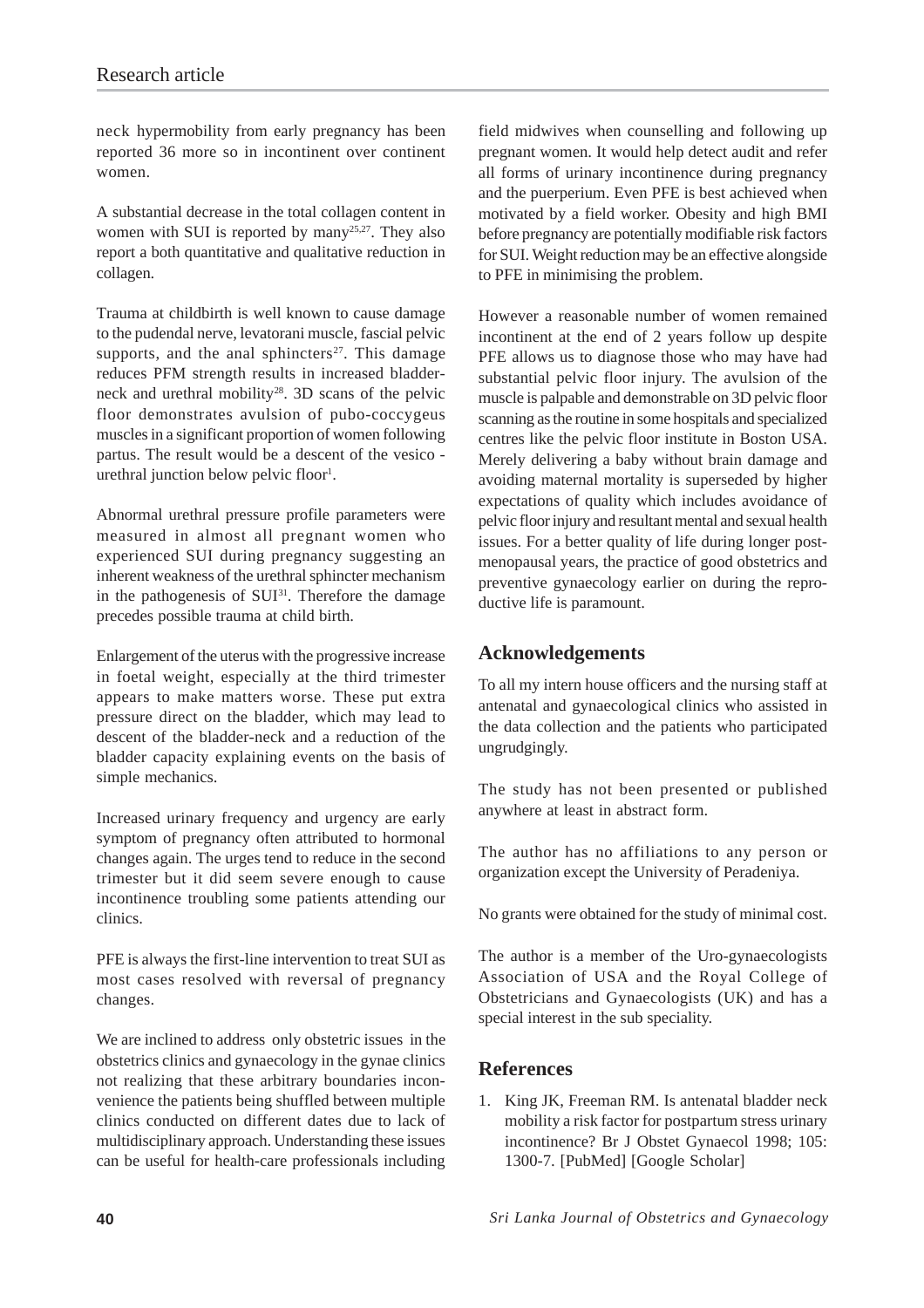neck hypermobility from early pregnancy has been reported 36 more so in incontinent over continent women.

A substantial decrease in the total collagen content in women with SUI is reported by  $\mu$ <sub>25,27</sub>. They also report a both quantitative and qualitative reduction in collagen.

Trauma at childbirth is well known to cause damage to the pudendal nerve, levatorani muscle, fascial pelvic supports, and the anal sphincters<sup>27</sup>. This damage reduces PFM strength results in increased bladderneck and urethral mobility<sup>28</sup>. 3D scans of the pelvic floor demonstrates avulsion of pubo-coccygeus muscles in a significant proportion of women following partus. The result would be a descent of the vesico urethral junction below pelvic floor<sup>1</sup>.

Abnormal urethral pressure profile parameters were measured in almost all pregnant women who experienced SUI during pregnancy suggesting an inherent weakness of the urethral sphincter mechanism in the pathogenesis of  $SUI<sup>31</sup>$ . Therefore the damage precedes possible trauma at child birth.

Enlargement of the uterus with the progressive increase in foetal weight, especially at the third trimester appears to make matters worse. These put extra pressure direct on the bladder, which may lead to descent of the bladder-neck and a reduction of the bladder capacity explaining events on the basis of simple mechanics.

Increased urinary frequency and urgency are early symptom of pregnancy often attributed to hormonal changes again. The urges tend to reduce in the second trimester but it did seem severe enough to cause incontinence troubling some patients attending our clinics.

PFE is always the first-line intervention to treat SUI as most cases resolved with reversal of pregnancy changes.

We are inclined to address only obstetric issues in the obstetrics clinics and gynaecology in the gynae clinics not realizing that these arbitrary boundaries inconvenience the patients being shuffled between multiple clinics conducted on different dates due to lack of multidisciplinary approach. Understanding these issues can be useful for health-care professionals including

field midwives when counselling and following up pregnant women. It would help detect audit and refer all forms of urinary incontinence during pregnancy and the puerperium. Even PFE is best achieved when motivated by a field worker. Obesity and high BMI before pregnancy are potentially modifiable risk factors for SUI. Weight reduction may be an effective alongside to PFE in minimising the problem.

However a reasonable number of women remained incontinent at the end of 2 years follow up despite PFE allows us to diagnose those who may have had substantial pelvic floor injury. The avulsion of the muscle is palpable and demonstrable on 3D pelvic floor scanning as the routine in some hospitals and specialized centres like the pelvic floor institute in Boston USA. Merely delivering a baby without brain damage and avoiding maternal mortality is superseded by higher expectations of quality which includes avoidance of pelvic floor injury and resultant mental and sexual health issues. For a better quality of life during longer postmenopausal years, the practice of good obstetrics and preventive gynaecology earlier on during the reproductive life is paramount.

#### **Acknowledgements**

To all my intern house officers and the nursing staff at antenatal and gynaecological clinics who assisted in the data collection and the patients who participated ungrudgingly.

The study has not been presented or published anywhere at least in abstract form.

The author has no affiliations to any person or organization except the University of Peradeniya.

No grants were obtained for the study of minimal cost.

The author is a member of the Uro-gynaecologists Association of USA and the Royal College of Obstetricians and Gynaecologists (UK) and has a special interest in the sub speciality.

#### **References**

1. King JK, Freeman RM. Is antenatal bladder neck mobility a risk factor for postpartum stress urinary incontinence? Br J Obstet Gynaecol 1998; 105: 1300-7. [PubMed] [Google Scholar]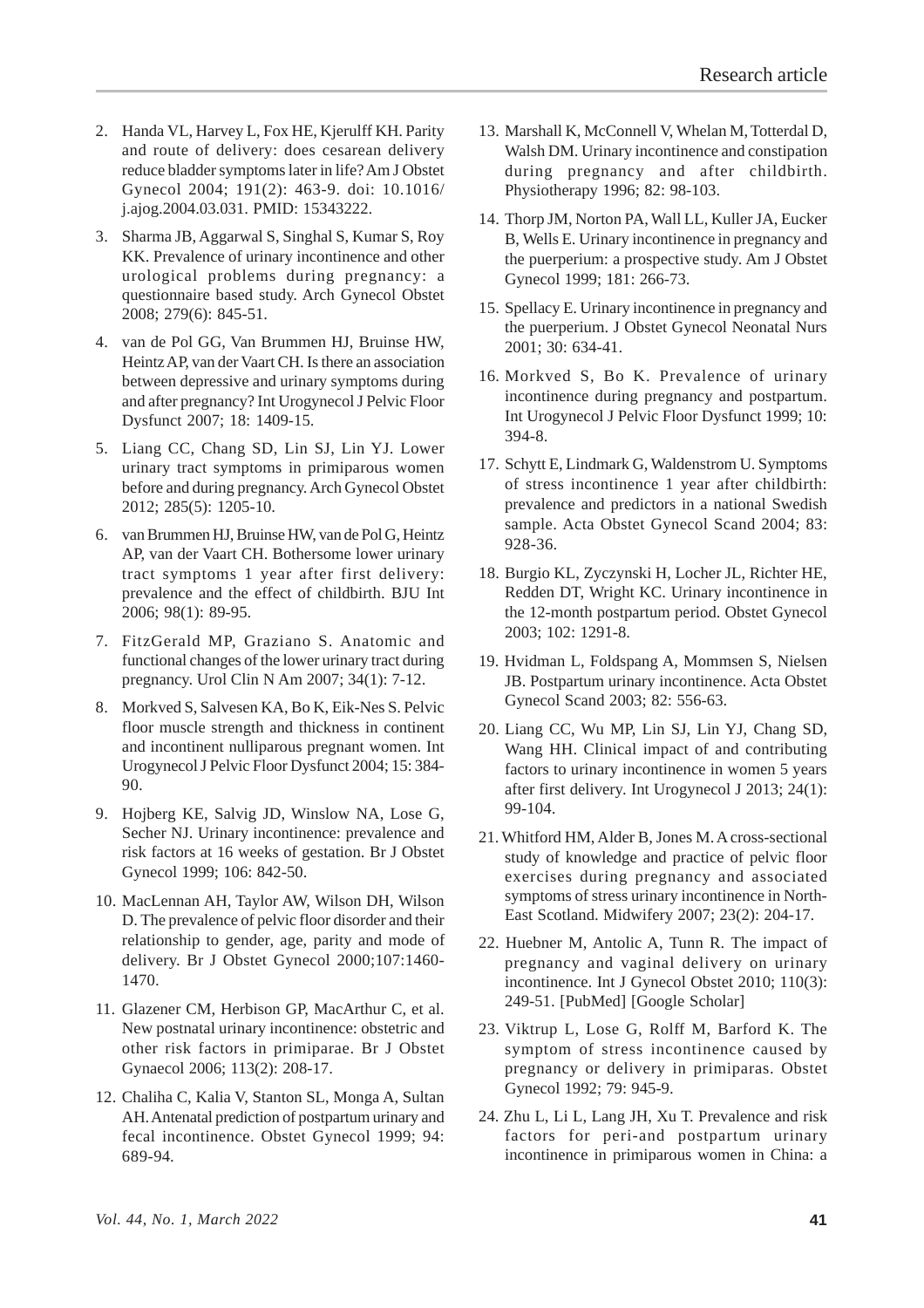- 2. Handa VL, Harvey L, Fox HE, Kjerulff KH. Parity and route of delivery: does cesarean delivery reduce bladder symptoms later in life? Am J Obstet Gynecol 2004; 191(2): 463-9. doi: 10.1016/ j.ajog.2004.03.031. PMID: 15343222.
- 3. Sharma JB, Aggarwal S, Singhal S, Kumar S, Roy KK. Prevalence of urinary incontinence and other urological problems during pregnancy: a questionnaire based study. Arch Gynecol Obstet 2008; 279(6): 845-51.
- 4. van de Pol GG, Van Brummen HJ, Bruinse HW, Heintz AP, van der Vaart CH. Is there an association between depressive and urinary symptoms during and after pregnancy? Int Urogynecol J Pelvic Floor Dysfunct 2007; 18: 1409-15.
- 5. Liang CC, Chang SD, Lin SJ, Lin YJ. Lower urinary tract symptoms in primiparous women before and during pregnancy. Arch Gynecol Obstet 2012; 285(5): 1205-10.
- 6. van Brummen HJ, Bruinse HW, van de Pol G, Heintz AP, van der Vaart CH. Bothersome lower urinary tract symptoms 1 year after first delivery: prevalence and the effect of childbirth. BJU Int 2006; 98(1): 89-95.
- 7. FitzGerald MP, Graziano S. Anatomic and functional changes of the lower urinary tract during pregnancy. Urol Clin N Am 2007; 34(1): 7-12.
- 8. Morkved S, Salvesen KA, Bo K, Eik-Nes S. Pelvic floor muscle strength and thickness in continent and incontinent nulliparous pregnant women. Int Urogynecol J Pelvic Floor Dysfunct 2004; 15: 384- 90.
- 9. Hojberg KE, Salvig JD, Winslow NA, Lose G, Secher NJ. Urinary incontinence: prevalence and risk factors at 16 weeks of gestation. Br J Obstet Gynecol 1999; 106: 842-50.
- 10. MacLennan AH, Taylor AW, Wilson DH, Wilson D. The prevalence of pelvic floor disorder and their relationship to gender, age, parity and mode of delivery. Br J Obstet Gynecol 2000;107:1460- 1470.
- 11. Glazener CM, Herbison GP, MacArthur C, et al. New postnatal urinary incontinence: obstetric and other risk factors in primiparae. Br J Obstet Gynaecol 2006; 113(2): 208-17.
- 12. Chaliha C, Kalia V, Stanton SL, Monga A, Sultan AH. Antenatal prediction of postpartum urinary and fecal incontinence. Obstet Gynecol 1999; 94: 689-94.
- 13. Marshall K, McConnell V, Whelan M, Totterdal D, Walsh DM. Urinary incontinence and constipation during pregnancy and after childbirth. Physiotherapy 1996; 82: 98-103.
- 14. Thorp JM, Norton PA, Wall LL, Kuller JA, Eucker B, Wells E. Urinary incontinence in pregnancy and the puerperium: a prospective study. Am J Obstet Gynecol 1999; 181: 266-73.
- 15. Spellacy E. Urinary incontinence in pregnancy and the puerperium. J Obstet Gynecol Neonatal Nurs 2001; 30: 634-41.
- 16. Morkved S, Bo K. Prevalence of urinary incontinence during pregnancy and postpartum. Int Urogynecol J Pelvic Floor Dysfunct 1999; 10: 394-8.
- 17. Schytt E, Lindmark G, Waldenstrom U. Symptoms of stress incontinence 1 year after childbirth: prevalence and predictors in a national Swedish sample. Acta Obstet Gynecol Scand 2004; 83: 928-36.
- 18. Burgio KL, Zyczynski H, Locher JL, Richter HE, Redden DT, Wright KC. Urinary incontinence in the 12-month postpartum period. Obstet Gynecol 2003; 102: 1291-8.
- 19. Hvidman L, Foldspang A, Mommsen S, Nielsen JB. Postpartum urinary incontinence. Acta Obstet Gynecol Scand 2003; 82: 556-63.
- 20. Liang CC, Wu MP, Lin SJ, Lin YJ, Chang SD, Wang HH. Clinical impact of and contributing factors to urinary incontinence in women 5 years after first delivery. Int Urogynecol J 2013; 24(1): 99-104.
- 21. Whitford HM, Alder B, Jones M. A cross-sectional study of knowledge and practice of pelvic floor exercises during pregnancy and associated symptoms of stress urinary incontinence in North-East Scotland. Midwifery 2007; 23(2): 204-17.
- 22. Huebner M, Antolic A, Tunn R. The impact of pregnancy and vaginal delivery on urinary incontinence. Int J Gynecol Obstet 2010; 110(3): 249-51. [PubMed] [Google Scholar]
- 23. Viktrup L, Lose G, Rolff M, Barford K. The symptom of stress incontinence caused by pregnancy or delivery in primiparas. Obstet Gynecol 1992; 79: 945-9.
- 24. Zhu L, Li L, Lang JH, Xu T. Prevalence and risk factors for peri-and postpartum urinary incontinence in primiparous women in China: a